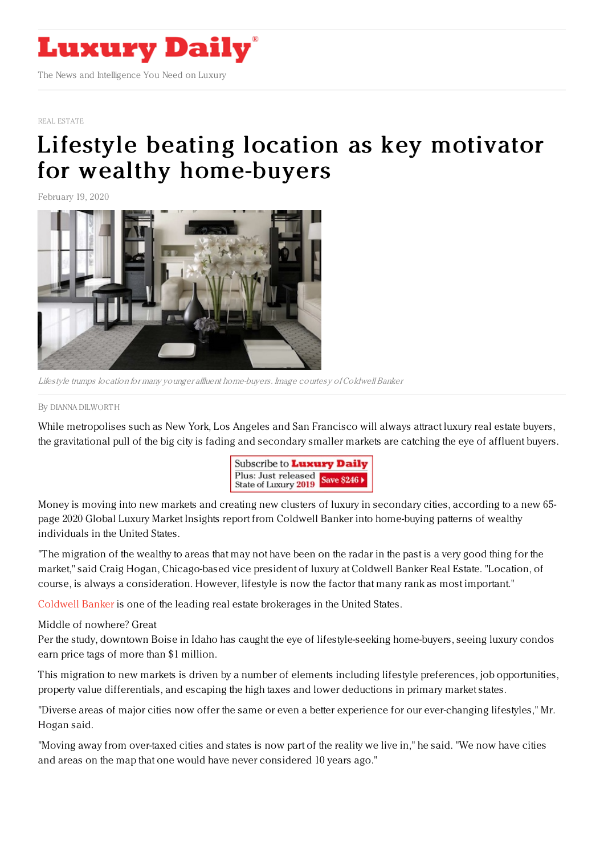

## REAL [ESTATE](https://www.luxurydaily.com/category/sectors/real-estate/)

## Lifestyle beating location as key motivator for wealthy [home-buyers](https://www.luxurydaily.com/wealthy-buyers-look-beyond-new-york-and-california-for-luxury-properties-report/)

February 19, 2020



Lifestyle trumps location for many younger affluent home-buyers. Image courtesy of Coldwell Banker

By DIANNA [DILWORT](file:///author/dianna-dilworth) H

While metropolises such as New York, Los Angeles and San Francisco will always attract luxury real estate buyers, the gravitational pull of the big city is fading and secondary smaller markets are catching the eye of affluent buyers.



Money is moving into new markets and creating new clusters of luxury in secondary cities, according to a new 65 page 2020 Global Luxury Market Insights report from Coldwell Banker into home-buying patterns of wealthy individuals in the United States.

"The migration of the wealthy to areas that may not have been on the radar in the past is a very good thing for the market," said Craig Hogan, Chicago-based vice president of luxury at Coldwell Banker Real Estate. "Location, of course, is always a consideration. However, lifestyle is now the factor that many rank as most important."

[Coldwell](http://www.coldwellbankerluxury.com) Banker is one of the leading real estate brokerages in the United States.

Middle of nowhere? Great

Per the study, downtown Boise in Idaho has caught the eye of lifestyle-seeking home-buyers, seeing luxury condos earn price tags of more than \$1 million.

This migration to new markets is driven by a number of elements including lifestyle preferences, job opportunities, property value differentials, and escaping the high taxes and lower deductions in primary market states.

"Diverse areas of major cities now offer the same or even a better experience for our ever-changing lifestyles," Mr. Hogan said.

"Moving away from over-taxed cities and states is now part of the reality we live in," he said. "We now have cities and areas on the map that one would have never considered 10 years ago."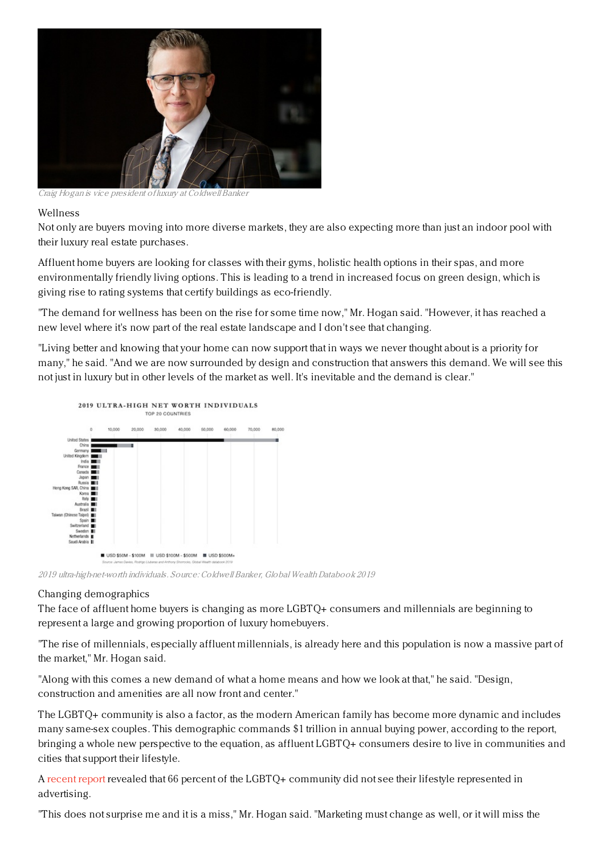

Craig Hogan is vice president of luxury at Coldwell Banker

## Wellness

Not only are buyers moving into more diverse markets, they are also expecting more than just an indoor pool with their luxury real estate purchases.

Affluent home buyers are looking for classes with their gyms, holistic health options in their spas, and more environmentally friendly living options. This is leading to a trend in increased focus on green design, which is giving rise to rating systems that certify buildings as eco-friendly.

"The demand for wellness has been on the rise for some time now," Mr. Hogan said. "However, it has reached a new level where it's now part of the real estate landscape and I don't see that changing.

"Living better and knowing that your home can now support that in ways we never thought about is a priority for many," he said. "And we are now surrounded by design and construction that answers this demand. We will see this not just in luxury but in other levels of the market as well. It's inevitable and the demand is clear."



2019 ultra-high-net-worth individuals. Source: Coldwell Banker, Global WealthDatabook 2019

## Changing demographics

The face of affluent home buyers is changing as more LGBTQ+ consumers and millennials are beginning to represent a large and growing proportion of luxury homebuyers.

"The rise of millennials, especially affluent millennials, is already here and this population is now a massive part of the market," Mr. Hogan said.

"Along with this comes a new demand of what a home means and how we look at that," he said. "Design, construction and amenities are all now front and center."

The LGBTQ+ community is also a factor, as the modern American family has become more dynamic and includes many same-sex couples. This demographic commands \$1 trillion in annual buying power, according to the report, bringing a whole new perspective to the equation, as affluent LGBTQ+ consumers desire to live in communities and cities that support their lifestyle.

A [recent](https://www.forbes.com/sites/debtfreeguys/2018/08/14/the-1-trillion-marketing-executives-are-ignoring/#29eaef96a97f) report revealed that 66 percent of the LGBTQ+ community did not see their lifestyle represented in advertising.

"This does not surprise me and it is a miss," Mr. Hogan said. "Marketing must change as well, or it will miss the